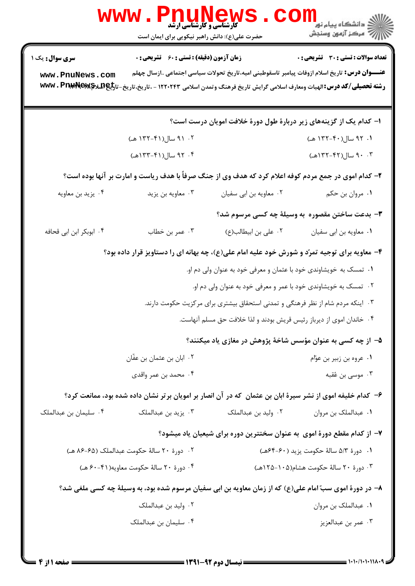|                                                                                                          | WWW . FII<br><b>V L L L L L L L L L L L L L</b><br>کارشناسی و کارشناسی ارشد<br>حضرت علی(ع): دانش راهبر نیکویی برای ایمان است |                                                                   | ڪ دانشڪاه پيا <sub>م</sub> نور ■<br>// مرکز آزمون وسنڊش                                                                                                                                                                              |  |
|----------------------------------------------------------------------------------------------------------|------------------------------------------------------------------------------------------------------------------------------|-------------------------------------------------------------------|--------------------------------------------------------------------------------------------------------------------------------------------------------------------------------------------------------------------------------------|--|
| <b>سری سوال :</b> یک ۱                                                                                   | <b>زمان آزمون (دقیقه) : تستی : 60 ٪ تشریحی : 0</b>                                                                           |                                                                   | <b>تعداد سوالات : تستی : 30 ٪ تشریحی : 0</b>                                                                                                                                                                                         |  |
| www.PnuNews.com                                                                                          |                                                                                                                              |                                                                   | <b>عنــــوان درس:</b> تاریخ اسلام ازوفات پیامبر تاسقوطبنی امیه،تاریخ تحولات سیاسی اجتماعی ازسال چهلم<br>رشته تحصیلی/کد درس:الهیات ومعارف اسلامی گرایش تاریخ فرهنگ وتمدن اسلامی ۱۲۲۰۲۴۳ - ،تاریخ-تاریخ-تا <del>رلیهِAQ</del> We &Prak |  |
| ا– کدام یک از گزینههای زیر دربارهٔ طول دورهٔ خلافت امویان درست است؟                                      |                                                                                                                              |                                                                   |                                                                                                                                                                                                                                      |  |
|                                                                                                          | ۰۲ سال(۴۱-۱۳۲ هـ)                                                                                                            |                                                                   | ۰۱. ۹۲ سال(۴۰-۱۳۲ هـ)                                                                                                                                                                                                                |  |
|                                                                                                          | ۰۴ سال(۴۱-۱۳۳هـ)                                                                                                             |                                                                   | ۰.۳ سال(۴۲-۱۳۲هه)                                                                                                                                                                                                                    |  |
| ۲- کدام اموی در جمع مردم کوفه اعلام کرد که هدف وی از جنگ صرفاً با هدف ریاست و امارت بر آنها بوده است؟    |                                                                                                                              |                                                                   |                                                                                                                                                                                                                                      |  |
| ۰۴ يزيد بن معاويه                                                                                        | ۰۳ معاویه بن یزید                                                                                                            | ٠٢ معاويه بن ابي سفيان                                            | ۰۱ مروان بن حکم                                                                                                                                                                                                                      |  |
|                                                                                                          |                                                                                                                              |                                                                   | <b>۳</b> - بدعت ساختن مقصوره به وسیلهٔ چه کسی مرسوم شد؟                                                                                                                                                                              |  |
| ۰۴ ابوبکر ابن ابی قحافه                                                                                  | ۰۳ عمر بن خطاب                                                                                                               | ۰۲ علی بن ابیطالب(ع)                                              | ٠١ معاويه بن ابي سفيان                                                                                                                                                                                                               |  |
| ۴- معاویه برای توجیه تمرّد و شورش خود علیه امام علی(ع)، چه بهانه ای را دستاویز قرار داده بود؟            |                                                                                                                              |                                                                   |                                                                                                                                                                                                                                      |  |
|                                                                                                          |                                                                                                                              | ۰۱ تمسک به خویشاوندی خود با عثمان و معرفی خود به عنوان ولی دم او. |                                                                                                                                                                                                                                      |  |
|                                                                                                          | ۰۲ تمسک به خویشاوندی خود با عمر و معرفی خود به عنوان ولی دم او.                                                              |                                                                   |                                                                                                                                                                                                                                      |  |
| ۰۳ اینکه مردم شام از نظر فرهنگی و تمدنی استحقاق بیشتری برای مرکزیت حکومت دارند.                          |                                                                                                                              |                                                                   |                                                                                                                                                                                                                                      |  |
|                                                                                                          | ۰۴ خاندان اموی از دیرباز رئیس قریش بودند و لذا خلافت حق مسلم آنهاست.                                                         |                                                                   |                                                                                                                                                                                                                                      |  |
|                                                                                                          |                                                                                                                              |                                                                   | ۵– از چه کسی به عنوان مؤسس شاخهٔ پژوهش در مغازی یاد میکنند؟                                                                                                                                                                          |  |
|                                                                                                          | ۰۲ ابان بن عثمان بن عفّان                                                                                                    |                                                                   | ۰۱ عروه بن زبیر بن عوّام                                                                                                                                                                                                             |  |
|                                                                                                          | ۰۴ محمد بن عمر واقدى                                                                                                         |                                                                   | ۰۳ موسى بن عُقبه                                                                                                                                                                                                                     |  |
|                                                                                                          |                                                                                                                              |                                                                   | ۶– کدام خلیفه اموی از نشر سیرهٔ ابان بن عثمان که در آن انصار بر امویان برتر نشان داده شده بود، ممانعت کرد؟                                                                                                                           |  |
| ۰۴ سلیمان بن عبدالملک                                                                                    | ۰۳ پزید بن عبدالملک                                                                                                          | ۰۲ ولید بن عبدالملک                                               | ۰۱ عبدالملک بن مروان                                                                                                                                                                                                                 |  |
|                                                                                                          |                                                                                                                              |                                                                   | ۷– از کدام مقطع دورهٔ اموی ًبه عنوان سختترین دوره برای شیعیان یاد میشود؟                                                                                                                                                             |  |
|                                                                                                          | ٢٠ ـ دورة ٢٠ سالة حكومت عبدالملك (۶۵-۸۶ هـ)                                                                                  |                                                                   | ٠١. دورة ٥/٣ سالة حكومت يزيد (٤٠-۶۴هـ)                                                                                                                                                                                               |  |
|                                                                                                          | ۰۴ دورهٔ ۲۰ سالهٔ حکومت معاویه(۴۱-۶۰ هـ)                                                                                     |                                                                   | ۰۳ دورهٔ ۲۰ سالهٔ حکومت هشام(۱۰۵-۱۲۵هـ)                                                                                                                                                                                              |  |
| ۸– در دورهٔ اموی سبّ امام علی(ع) که از زمان معاویه بن ابی سفیان مرسوم شده بود، به وسیلهٔ چه کسی ملغی شد؟ |                                                                                                                              |                                                                   |                                                                                                                                                                                                                                      |  |
|                                                                                                          | ۰۲ ولید بن عبدالملک                                                                                                          |                                                                   | ۰۱ عبدالملک بن مروان                                                                                                                                                                                                                 |  |
|                                                                                                          | ۰۴ سلیمان بن عبدالملک                                                                                                        |                                                                   | ۰۳ عمر بن عبدالعزيز                                                                                                                                                                                                                  |  |
|                                                                                                          |                                                                                                                              |                                                                   |                                                                                                                                                                                                                                      |  |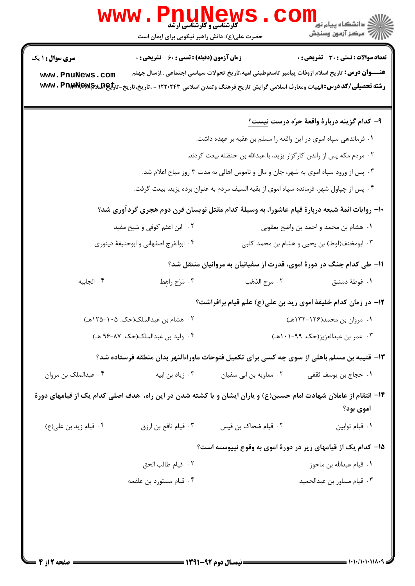|                                                                                                                                | Pnung Tuks<br><b>www .</b><br>حضرت علی(ع): دانش راهبر نیکویی برای ایمان است |                                                                                     | الله دانشگاه پيام نور<br>۱۳۸۸ مرکز آزمون وسنجش                                                                                                                                                                                                    |  |
|--------------------------------------------------------------------------------------------------------------------------------|-----------------------------------------------------------------------------|-------------------------------------------------------------------------------------|---------------------------------------------------------------------------------------------------------------------------------------------------------------------------------------------------------------------------------------------------|--|
| <b>سری سوال : ۱ یک</b>                                                                                                         | <b>زمان آزمون (دقیقه) : تستی : 60 ٪ تشریحی : 0</b>                          |                                                                                     | تعداد سوالات : تستي : 30 ٪ تشريحي : 0                                                                                                                                                                                                             |  |
| www.PnuNews.com                                                                                                                |                                                                             |                                                                                     | <b>عنــــوان درس:</b> تاریخ اسلام ازوفات پیامبر تاسقوطبنی امیه،تاریخ تحولات سیاسی اجتماعی ازسال چهلم<br><b>رشته تحصیلی/کد درس:</b> الهیات ومعارف اسلامی گرایش تاریخ فرهنگ وتمدن اسلامی ۱۲۲۰۲۴۳ - ،تاریخ-تاریخ-تا <del>ریا&amp;QW\$NQ</del> W\$ می |  |
|                                                                                                                                |                                                                             |                                                                                     | ۹– کدام گزینه دربارهٔ واقعهٔ حرّه درست نیست <u>؟</u>                                                                                                                                                                                              |  |
|                                                                                                                                |                                                                             | ۰۱ فرماندهی سپاه اموی در این واقعه را مسلم بن عقبه بر عهده داشت.                    |                                                                                                                                                                                                                                                   |  |
|                                                                                                                                |                                                                             | ۰۲ مردم مکه پس از راندن کارگزار یزید، با عبدالله بن حنظله بیعت کردند.               |                                                                                                                                                                                                                                                   |  |
|                                                                                                                                |                                                                             | ۰۳ پس از ورود سپاه اموی به شهر، جان و مال و ناموس اهالی به مدت ۳ روز مباح اعلام شد. |                                                                                                                                                                                                                                                   |  |
| ۰۴ پس از چپاول شهر، فرمانده سپاه اموی از بقیه السیف مردم به عنوان برده یزید، بیعت گرفت.                                        |                                                                             |                                                                                     |                                                                                                                                                                                                                                                   |  |
| +١- روایات ائمهٔ شیعه دربارهٔ قیام عاشورا، به وسیلهٔ کدام مقتل نویسان قرن دوم هجری گردآوری شد؟                                 |                                                                             |                                                                                     |                                                                                                                                                                                                                                                   |  |
|                                                                                                                                | ۰۲ ابن اعثم کوفی و شیخ مفید                                                 |                                                                                     | ۰۱ هشام بن محمد و احمد بن واضح يعقوبي                                                                                                                                                                                                             |  |
|                                                                                                                                | ۰۴ ابوالفرج اصفهاني و ابوحنيفهٔ دينوري                                      |                                                                                     | ۰۳ ابومخنف(لوط) بن يحيى و هشام بن محمد كلبى                                                                                                                                                                                                       |  |
|                                                                                                                                |                                                                             |                                                                                     | 1۱– طی کدام جنگ در دورهٔ اموی، قدرت از سفیانیان به مروانیان منتقل شد؟                                                                                                                                                                             |  |
| ۰۴ الجابيه                                                                                                                     | ۰۳ مَرْج راهط                                                               | ٢. مرج الذَهَب                                                                      | ۰۱ غوطهٔ دمشق                                                                                                                                                                                                                                     |  |
|                                                                                                                                |                                                                             |                                                                                     | 1۲– در زمان کدام خلیفهٔ اموی زید بن علی(ع) علم قیام برافراشت؟                                                                                                                                                                                     |  |
|                                                                                                                                | ۰۲ هشام بن عبدالملک(حک. ۱۰۵-۱۲۵هـ)                                          |                                                                                     | ۱. مروان بن محمد(۱۲۶-۱۳۲هـ)                                                                                                                                                                                                                       |  |
|                                                                                                                                | ۰۴ وليد بن عبدالملک(حک. ۸۷-۹۶ هـ)                                           | ۰۳ عمر بن عبدالعزيز(حک. ۹۹-۱۰۱هـ)                                                   |                                                                                                                                                                                                                                                   |  |
|                                                                                                                                |                                                                             |                                                                                     | ۱۳– قتیبه بن مسلم باهلی از سوی چه کسی برای تکمیل فتوحات ماوراءالنهر بدان منطقه فرستاده شد؟                                                                                                                                                        |  |
| ۰۴ عبدالملک بن مروان                                                                                                           | ۰۳ زیاد بن ابیه                                                             | ۰۲ معاویه بن ابی سفیان                                                              | ٠١ حجاج بن يوسف ثقفي                                                                                                                                                                                                                              |  |
| ۱۴– انتقام از عاملان شهادت امام حسین(ع) و یاران ایشان و یا کشته شدن در این راه، هدف اصلی کدام یک از قیامهای دورهٔ<br>اموي بود؟ |                                                                             |                                                                                     |                                                                                                                                                                                                                                                   |  |
| ۰۴ قیام زید بن علی(ع)                                                                                                          | ۰۳ قیام نافع بن ارزق                                                        | ۰۲ قیام ضحاک بن قیس                                                                 | ٠١ قيام توابين                                                                                                                                                                                                                                    |  |
|                                                                                                                                |                                                                             |                                                                                     | ۱۵– کدام یک از قیامهای زیر در دورهٔ اموی به وقوع نپیوسته است؟                                                                                                                                                                                     |  |
|                                                                                                                                | ٢. قيام طالب الحق                                                           |                                                                                     | ٠١. قيام عبدالله بن ماحوز                                                                                                                                                                                                                         |  |
|                                                                                                                                | ۰۴ قیام مستورد بن علقمه                                                     |                                                                                     | ٠٣ قيام مساور بن عبدالحميد                                                                                                                                                                                                                        |  |
|                                                                                                                                |                                                                             |                                                                                     |                                                                                                                                                                                                                                                   |  |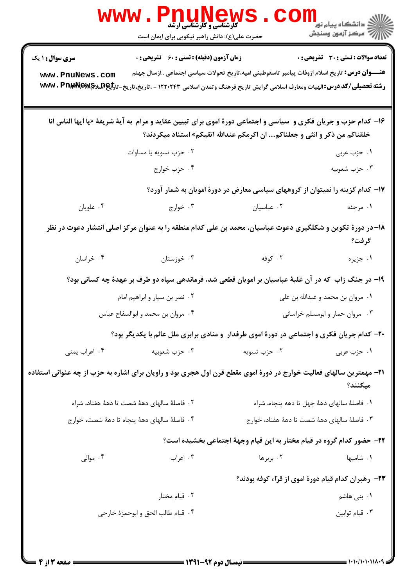|                        | WWW.Pnunews<br>حضرت علی(ع): دانش راهبر نیکویی برای ایمان است                                                                                                                                                                       |                                                                                | <sup>ارا</sup> د دانشگاه پيام نور <mark>−</mark><br>ار∕* مرکز آزمون وسنجش |
|------------------------|------------------------------------------------------------------------------------------------------------------------------------------------------------------------------------------------------------------------------------|--------------------------------------------------------------------------------|---------------------------------------------------------------------------|
| <b>سری سوال : ۱ یک</b> | <b>زمان آزمون (دقیقه) : تستی : 60 ٪ تشریحی : 0</b>                                                                                                                                                                                 |                                                                                | <b>تعداد سوالات : تستی : 30 ٪ تشریحی : 0</b>                              |
| www.PnuNews.com        | <b>عنــــوان درس:</b> تاریخ اسلام ازوفات پیامبر تاسقوطبنی امیه،تاریخ تحولات سیاسی اجتماعی ازسال چهلم<br>رشته تحصیلی/کد درس:الهیات ومعارف اسلامی گرایش تاریخ فرهنگ وتمدن اسلامی ۱۲۲۰۲۴۳ - ،تاریخ-تاریخ-تا <del>رلیه W</del> Wv . Pr |                                                                                |                                                                           |
|                        | ۱۶- کدام حزب و جریان فکری و  سیاسی و اجتماعی دورهٔ اموی برای تبیین عقاید و مرام  به آیهٔ شریفهٔ «یا ایها الناس انا                                                                                                                 | خلقناکم من ذکر و انثی و جعلناکم ان اکرمکم عندالله اتقیکم» استناد میکردند؟      |                                                                           |
|                        | ۰۲ حزب تسويه يا مساوات                                                                                                                                                                                                             |                                                                                | ۱. حزب عربی                                                               |
|                        | ۰۴ حزب خوارج                                                                                                                                                                                                                       |                                                                                | ۰۳ حزب شعوبيه                                                             |
|                        |                                                                                                                                                                                                                                    | ۱۷– کدام گزینه را نمیتوان از گروههای سیاسی معارض در دورهٔ امویان به شمار آورد؟ |                                                                           |
| ۰۴ علويان              | ۰۲ عباسیان میبان است. ۲۰ خوارج استفاده به مواج                                                                                                                                                                                     |                                                                                | ۱. مرجئه                                                                  |
|                        | ۱۸– در دورهٔ تکوین و شکلگیری دعوت عباسیان، محمد بن علی کدام منطقه را به عنوان مرکز اصلی انتشار دعوت در نظر                                                                                                                         |                                                                                | گرفت؟                                                                     |
| ۰۴ خراسان              | ۰۳ خوزستان                                                                                                                                                                                                                         | ۰۲ کوفه ا                                                                      | ۰۱ جزیره                                                                  |
|                        | ۱۹- در جنگ زاب که در آن غلبهٔ عباسیان بر امویان قطعی شد، فرماندهی سپاه دو طرف بر عهدهٔ چه کسانی بود؟                                                                                                                               |                                                                                |                                                                           |
|                        | ۰۲ نصر بن سيار و ابراهيم امام                                                                                                                                                                                                      |                                                                                | ۰۱ مروان بن محمد و عبدالله بن علي                                         |
|                        | ۰۴ مروان بن محمد و ابوالسفاح عباس                                                                                                                                                                                                  |                                                                                | ۰۳ مروان حمار و ابومسلم خراسانی                                           |
|                        | ۲۰- کدام جریان فکری و اجتماعی در دورهٔ اموی طرفدار ً و منادی برابری ملل عالم با یکدیگر بود؟                                                                                                                                        |                                                                                |                                                                           |
| ۰۴ اعراب يمنى          | ۰۳ حزب شعوبيه                                                                                                                                                                                                                      | ۰۲ حزب تسویه                                                                   | ۰۱ حزب عربی                                                               |
|                        | ۲۱- مهمترین سالهای فعالیت خوارج در دورهٔ اموی مقطع قرن اول هجری بود و راویان برای اشاره به حزب از چه عنوانی استفاده                                                                                                                |                                                                                | ميكنند؟                                                                   |
|                        | ۰۲ فاصلهٔ سالهای دههٔ شصت تا دههٔ هفتاد، شراه                                                                                                                                                                                      |                                                                                | ٠١ فاصلهٔ سالهای دههٔ چهل تا دهه پنجاه، شراه                              |
|                        | ۰۴ فاصلهٔ سالهای دههٔ پنجاه تا دههٔ شصت، خوارج                                                                                                                                                                                     |                                                                                | ۰۳ فاصلهٔ سالهای دههٔ شصت تا دههٔ هفتاد، خوارج                            |
|                        |                                                                                                                                                                                                                                    | ۲۲- حضور کدام گروه در قیام مختار به این قیام وجههٔ اجتماعی بخشیده است؟         |                                                                           |
| ۰۴ موالی               | ۰۳ اعراب                                                                                                                                                                                                                           | ۰۲ بربرها                                                                      | ۰۱ شامیها                                                                 |
|                        |                                                                                                                                                                                                                                    |                                                                                | ٢٣–  رهبران كدام قيام دورهٔ اموى از قرّاء كوفه بودند؟                     |
|                        | ۰۲ قیام مختار                                                                                                                                                                                                                      |                                                                                | ۰۱ بنی هاشم                                                               |
|                        | ۴.  قيام طالب الحق و ابوحمزهٔ خارجي                                                                                                                                                                                                |                                                                                | ٠٣ قيام توابين                                                            |
|                        |                                                                                                                                                                                                                                    |                                                                                |                                                                           |